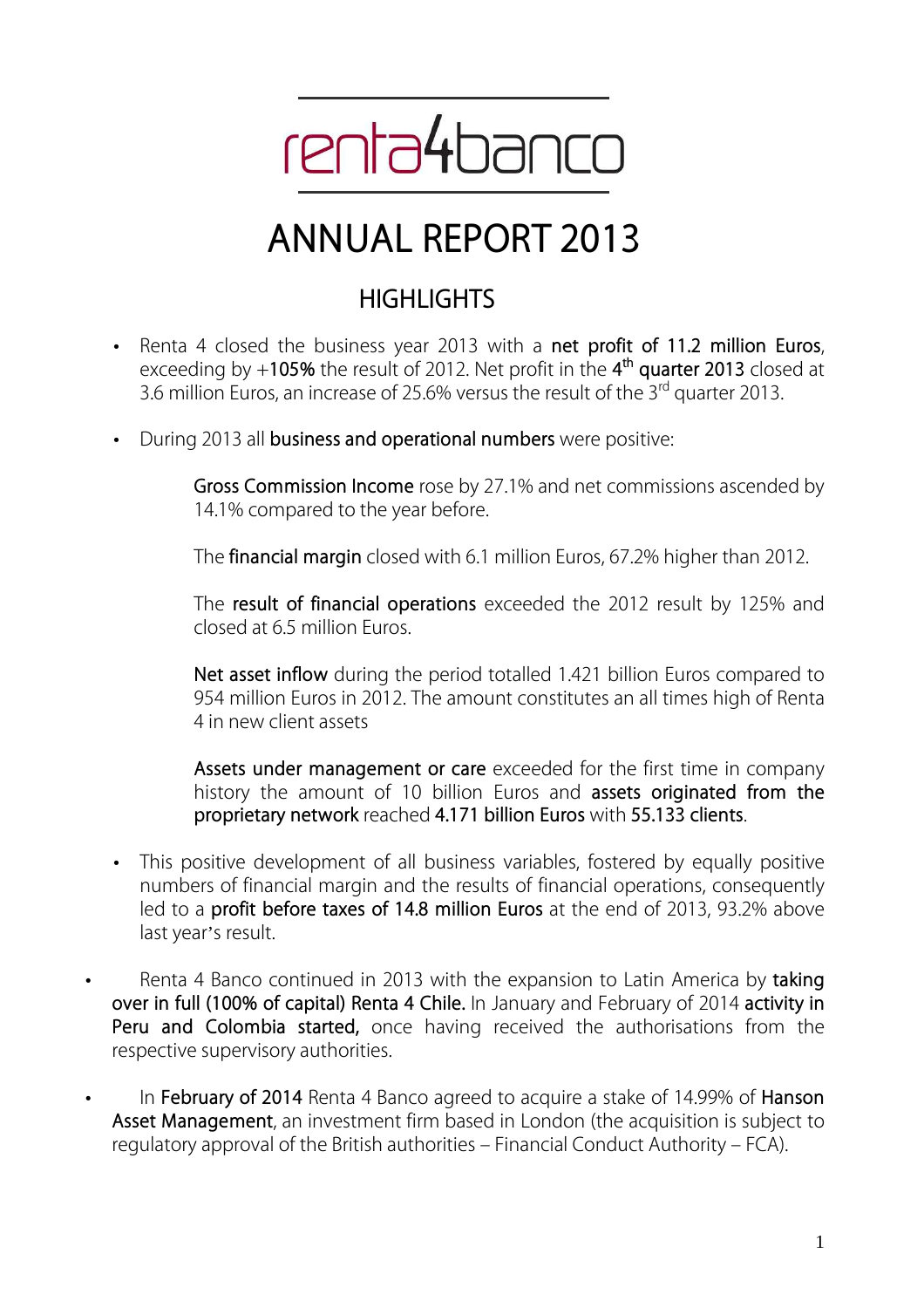

# **ANNUAL REPORT 2013**

# **HIGHLIGHTS**

- Renta 4 closed the business year 2013 with a **net profit of 11.2 million Euros**, exceeding by +**105%** the result of 2012. Net profit in the **4 th quarter 2013** closed at 3.6 million Euros, an increase of 25.6% versus the result of the 3<sup>rd</sup> quarter 2013.
- During 2013 all **business and operational numbers** were positive:

**Gross Commission Income** rose by 27.1% and net commissions ascended by 14.1% compared to the year before.

The **financial margin** closed with 6.1 million Euros, 67.2% higher than 2012.

The **result of financial operations** exceeded the 2012 result by 125% and closed at 6.5 million Euros.

**Net asset inflow** during the period totalled 1.421 billion Euros compared to 954 million Euros in 2012. The amount constitutes an all times high of Renta 4 in new client assets

**Assets under management or care** exceeded for the first time in company history the amount of 10 billion Euros and **assets originated from the proprietary network** reached **4.171 billion Euros** with **55.133 clients**.

- This positive development of all business variables, fostered by equally positive numbers of financial margin and the results of financial operations, consequently led to a **profit before taxes of 14.8 million Euros** at the end of 2013, 93.2% above last year's result.
- Renta 4 Banco continued in 2013 with the expansion to Latin America by **taking over in full (100% of capital) Renta 4 Chile.** In January and February of 2014 **activity in Peru and Colombia started,** once having received the authorisations from the respective supervisory authorities.
- In **February of 2014** Renta 4 Banco agreed to acquire a stake of 14.99% of **Hanson Asset Management**, an investment firm based in London (the acquisition is subject to regulatory approval of the British authorities – Financial Conduct Authority – FCA).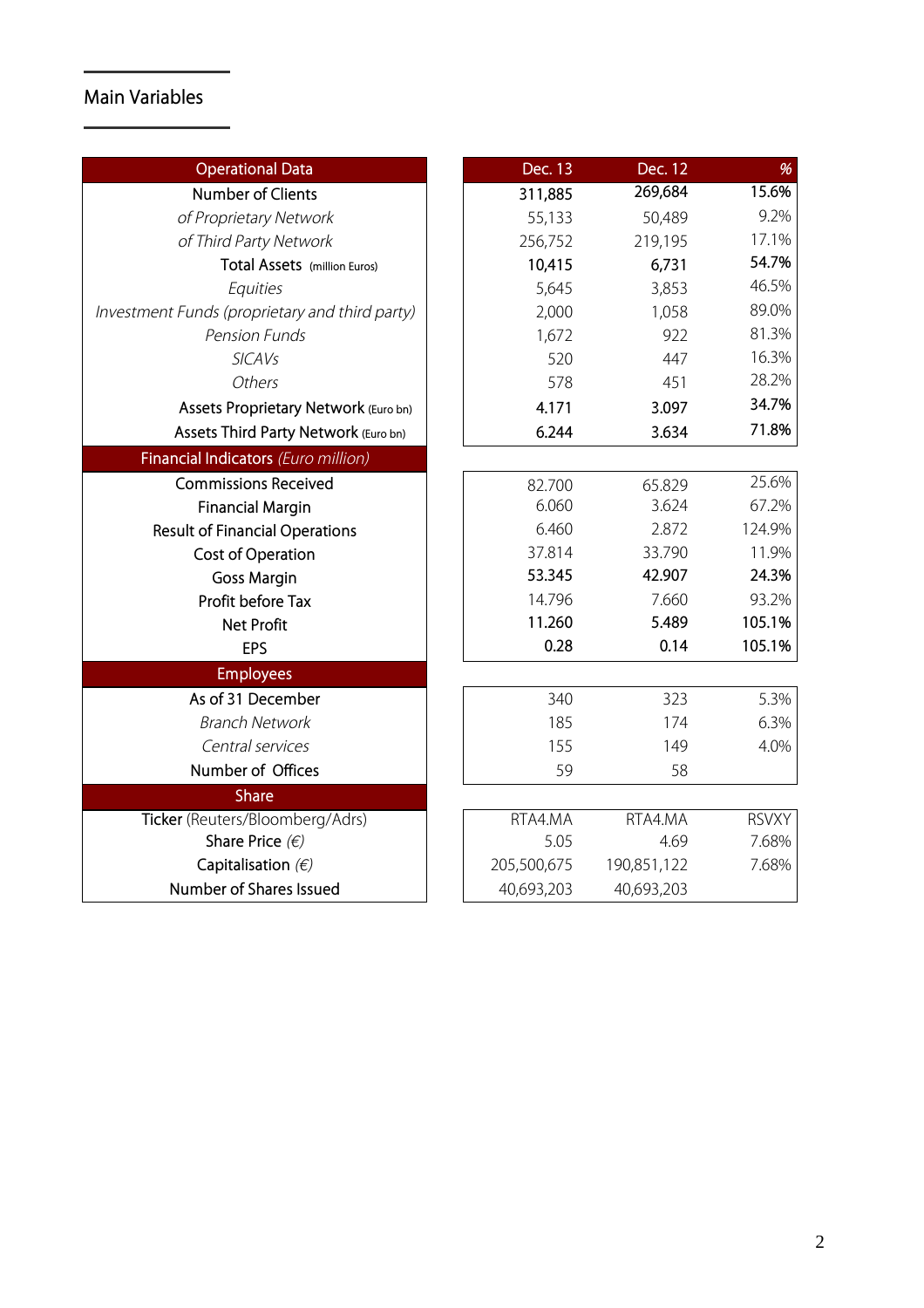# **Main Variables**

| <b>Operational Data</b>                        | Dec. 13     | <b>Dec. 12</b> | %            |
|------------------------------------------------|-------------|----------------|--------------|
| <b>Number of Clients</b>                       | 311,885     | 269,684        | 15.6%        |
| of Proprietary Network                         | 55,133      | 50,489         | 9.2%         |
| of Third Party Network                         | 256,752     | 219,195        | 17.1%        |
| Total Assets (million Euros)                   | 10,415      | 6,731          | 54.7%        |
| Equities                                       | 5,645       | 3,853          | 46.5%        |
| Investment Funds (proprietary and third party) | 2,000       | 1,058          | 89.0%        |
| <b>Pension Funds</b>                           | 1,672       | 922            | 81.3%        |
| <b>SICAVs</b>                                  | 520         | 447            | 16.3%        |
| Others                                         | 578         | 451            | 28.2%        |
| Assets Proprietary Network (Euro bn)           | 4.171       | 3.097          | 34.7%        |
| Assets Third Party Network (Euro bn)           | 6.244       | 3.634          | 71.8%        |
| Financial Indicators (Euro million)            |             |                |              |
| <b>Commissions Received</b>                    | 82.700      | 65.829         | 25.6%        |
| <b>Financial Margin</b>                        | 6.060       | 3.624          | 67.2%        |
| <b>Result of Financial Operations</b>          | 6.460       | 2.872          | 124.9%       |
| Cost of Operation                              | 37.814      | 33.790         | 11.9%        |
| <b>Goss Margin</b>                             | 53.345      | 42.907         | 24.3%        |
| Profit before Tax                              | 14.796      | 7.660          | 93.2%        |
| <b>Net Profit</b>                              | 11.260      | 5.489          | 105.1%       |
| <b>EPS</b>                                     | 0.28        | 0.14           | 105.1%       |
| <b>Employees</b>                               |             |                |              |
| As of 31 December                              | 340         | 323            | 5.3%         |
| <b>Branch Network</b>                          | 185         | 174            | 6.3%         |
| Central services                               | 155         | 149            | 4.0%         |
| Number of Offices                              | 59          | 58             |              |
| <b>Share</b>                                   |             |                |              |
| Ticker (Reuters/Bloomberg/Adrs)                | RTA4.MA     | RTA4.MA        | <b>RSVXY</b> |
| Share Price $(\epsilon)$                       | 5.05        | 4.69           | 7.68%        |
| Capitalisation $(E)$                           | 205,500,675 | 190,851,122    | 7.68%        |
| Number of Shares Issued                        | 40,693,203  | 40,693,203     |              |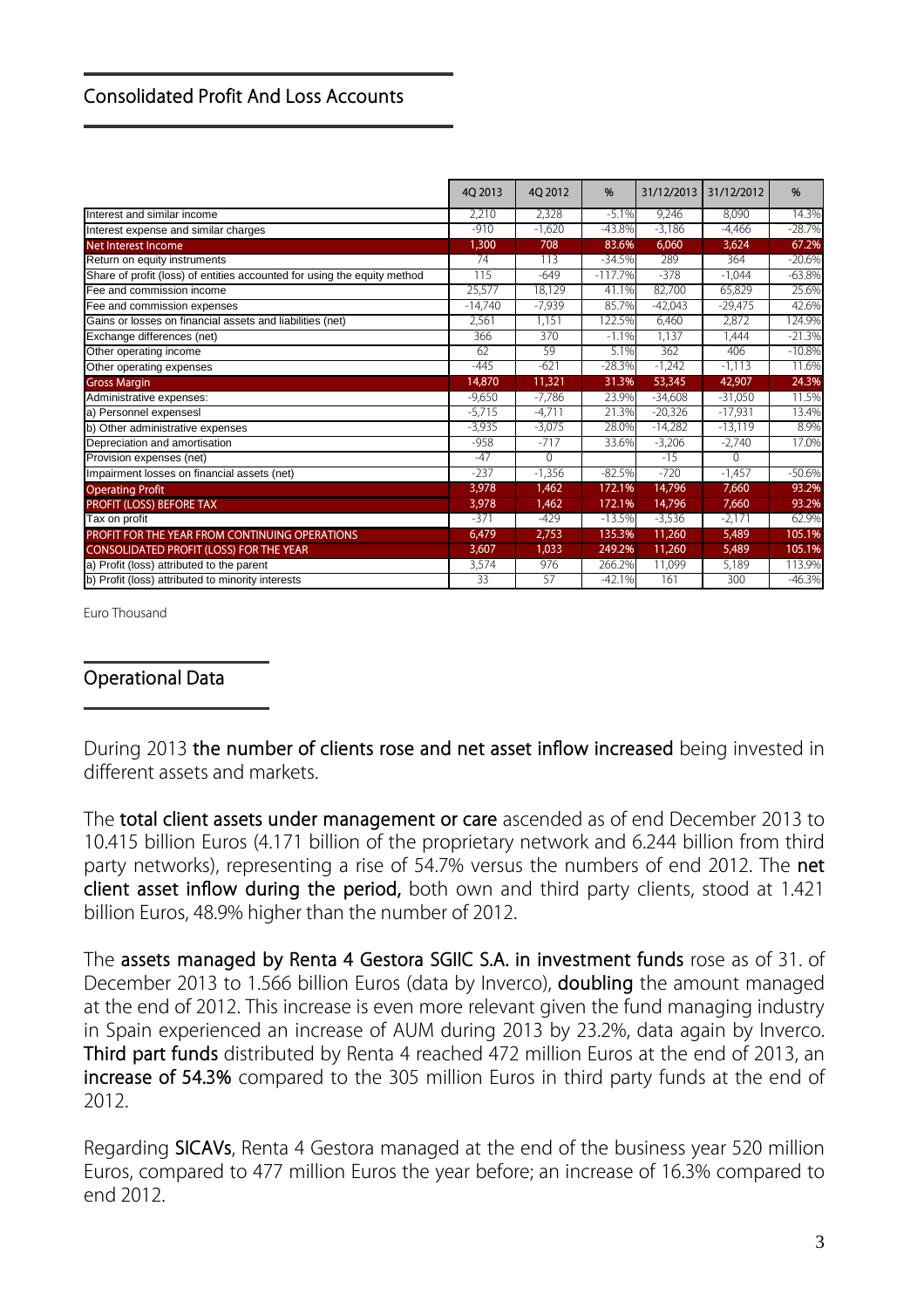#### **Consolidated Profit And Loss Accounts**

|                                                                          | 40 2013   | 4Q 2012  | %         | 31/12/2013 | 31/12/2012 | %        |  |
|--------------------------------------------------------------------------|-----------|----------|-----------|------------|------------|----------|--|
| Interest and similar income                                              | 2,210     | 2,328    | $-5.1%$   | 9,246      | 8.090      | 14.3%    |  |
| Interest expense and similar charges                                     | $-910$    | $-1,620$ | $-43.8%$  | $-3,186$   | $-4.466$   | $-28.7%$ |  |
| <b>Net Interest Income</b>                                               | 1,300     | 708      | 83.6%     | 6,060      | 3,624      | 67.2%    |  |
| Return on equity instruments                                             | 74        | 113      | $-34.5%$  | 289        | 364        | $-20.6%$ |  |
| Share of profit (loss) of entities accounted for using the equity method | 115       | $-649$   | $-117.7%$ | $-378$     | $-1.044$   | $-63.8%$ |  |
| Fee and commission income                                                | 25,577    | 18,129   | 41.1%     | 82,700     | 65,829     | 25.6%    |  |
| Fee and commission expenses                                              | $-14,740$ | $-7,939$ | 85.7%     | $-42,043$  | $-29.475$  | 42.6%    |  |
| Gains or losses on financial assets and liabilities (net)                | 2,561     | 1.151    | 122.5%    | 6.460      | 2,872      | 124.9%   |  |
| Exchange differences (net)                                               | 366       | 370      | $-1.1%$   | 1,137      | 1.444      | $-21.3%$ |  |
| Other operating income                                                   | 62        | 59       | 5.1%      | 362        | 406        | $-10.8%$ |  |
| Other operating expenses                                                 | $-445$    | $-621$   | $-28.3%$  | $-1,242$   | $-1.113$   | 11.6%    |  |
| <b>Gross Margin</b>                                                      | 14,870    | 11,321   | 31.3%     | 53,345     | 42,907     | 24.3%    |  |
| Administrative expenses:                                                 | $-9.650$  | $-7,786$ | 23.9%     | $-34,608$  | $-31.050$  | 11.5%    |  |
| a) Personnel expensesl                                                   | $-5,715$  | $-4,711$ | 21.3%     | $-20,326$  | $-17,931$  | 13.4%    |  |
| b) Other administrative expenses                                         | $-3,935$  | $-3,075$ | 28.0%     | $-14,282$  | $-13,119$  | 8.9%     |  |
| Depreciation and amortisation                                            | $-958$    | $-717$   | 33.6%     | $-3,206$   | $-2,740$   | 17.0%    |  |
| Provision expenses (net)                                                 | $-47$     | 0        |           | $-15$      | $\Omega$   |          |  |
| Impairment losses on financial assets (net)                              | $-237$    | $-1,356$ | $-82.5%$  | $-720$     | $-1.457$   | $-50.6%$ |  |
| <b>Operating Profit</b>                                                  | 3,978     | 1.462    | 172.1%    | 14,796     | 7,660      | 93.2%    |  |
| PROFIT (LOSS) BEFORE TAX                                                 | 3,978     | 1,462    | 172.1%    | 14,796     | 7.660      | 93.2%    |  |
| Tax on profit                                                            | $-371$    | $-429$   | $-13.5%$  | $-3,536$   | $-2,171$   | 62.9%    |  |
| PROFIT FOR THE YEAR FROM CONTINUING OPERATIONS                           | 6,479     | 2,753    | 135.3%    | 11,260     | 5,489      | 105.1%   |  |
| CONSOLIDATED PROFIT (LOSS) FOR THE YEAR                                  | 3,607     | 1,033    | 249.2%    | 11,260     | 5,489      | 105.1%   |  |
| a) Profit (loss) attributed to the parent                                | 3,574     | 976      | 266.2%    | 11,099     | 5,189      | 113.9%   |  |
| b) Profit (loss) attributed to minority interests                        | 33        | 57       | $-42.1%$  | 161        | 300        | $-46.3%$ |  |

Euro Thousand

#### **Operational Data**

During 2013 **the number of clients rose and net asset inflow increased** being invested in different assets and markets.

The **total client assets under management or care** ascended as of end December 2013 to 10.415 billion Euros (4.171 billion of the proprietary network and 6.244 billion from third party networks), representing a rise of 54.7% versus the numbers of end 2012. The **net client asset inflow during the period,** both own and third party clients, stood at 1.421 billion Euros, 48.9% higher than the number of 2012.

The **assets managed by Renta 4 Gestora SGIIC S.A. in investment funds** rose as of 31. of December 2013 to 1.566 billion Euros (data by Inverco), **doubling** the amount managed at the end of 2012. This increase is even more relevant given the fund managing industry in Spain experienced an increase of AUM during 2013 by 23.2%, data again by Inverco. **Third part funds** distributed by Renta 4 reached 472 million Euros at the end of 2013, an **increase of 54.3%** compared to the 305 million Euros in third party funds at the end of 2012.

Regarding **SICAVs**, Renta 4 Gestora managed at the end of the business year 520 million Euros, compared to 477 million Euros the year before; an increase of 16.3% compared to end 2012.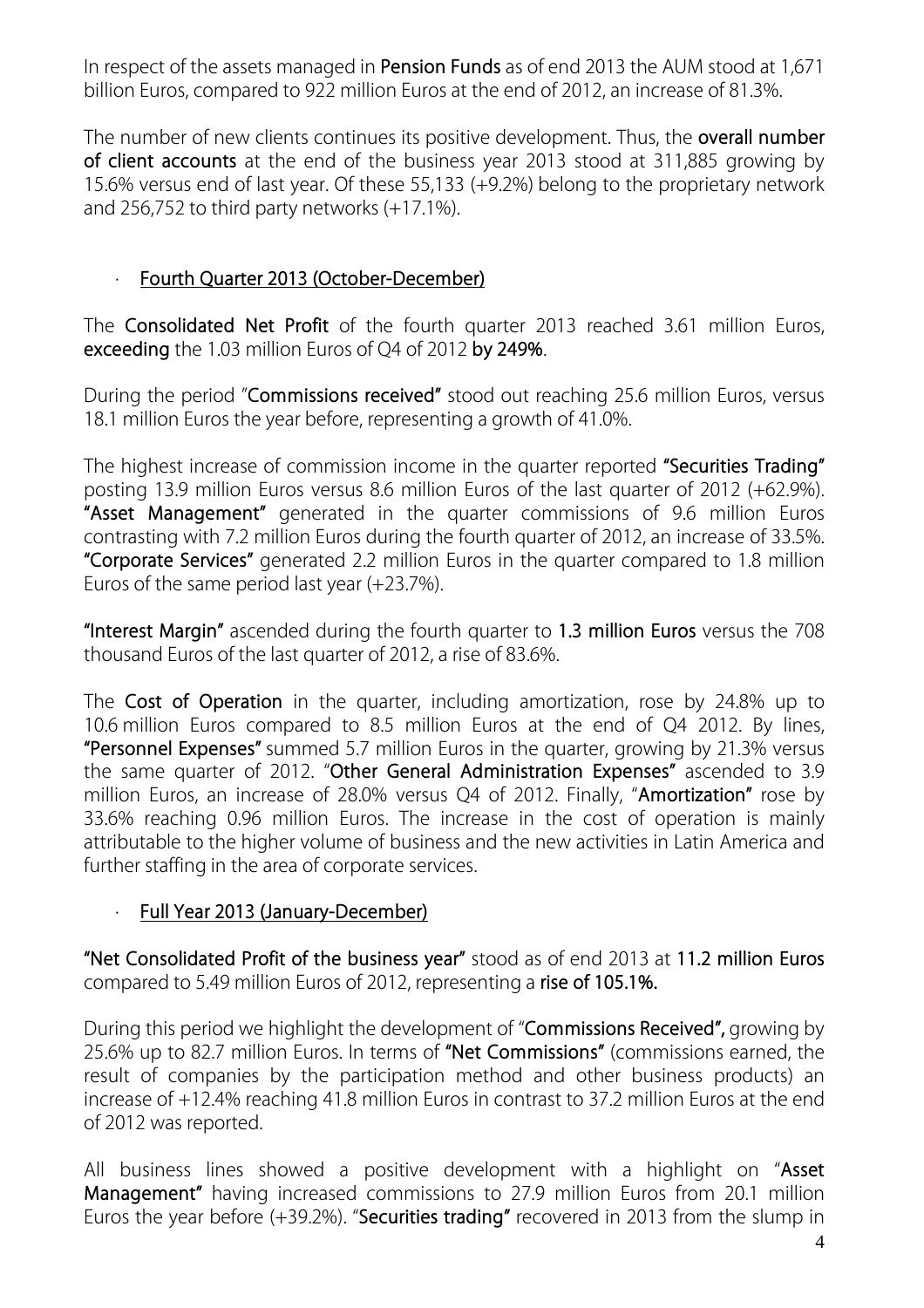In respect of the assets managed in **Pension Funds** as of end 2013 the AUM stood at 1,671 billion Euros, compared to 922 million Euros at the end of 2012, an increase of 81.3%.

The number of new clients continues its positive development. Thus, the **overall number of client accounts** at the end of the business year 2013 stood at 311,885 growing by 15.6% versus end of last year. Of these 55,133 (+9.2%) belong to the proprietary network and 256,752 to third party networks  $(+17.1\%)$ .

# · **Fourth Quarter 2013 (October-December)**

The **Consolidated Net Profit** of the fourth quarter 2013 reached 3.61 million Euros, **exceeding** the 1.03 million Euros of Q4 of 2012 **by 249%**.

During the period "**Commissions received"** stood out reaching 25.6 million Euros, versus 18.1 million Euros the year before, representing a growth of 41.0%.

The highest increase of commission income in the quarter reported **"Securities Trading"** posting 13.9 million Euros versus 8.6 million Euros of the last quarter of 2012 (+62.9%). **"Asset Management"** generated in the quarter commissions of 9.6 million Euros contrasting with 7.2 million Euros during the fourth quarter of 2012, an increase of 33.5%. **"Corporate Services"** generated 2.2 million Euros in the quarter compared to 1.8 million Euros of the same period last year (+23.7%).

**"Interest Margin"** ascended during the fourth quarter to **1.3 million Euros** versus the 708 thousand Euros of the last quarter of 2012, a rise of 83.6%.

The **Cost of Operation** in the quarter, including amortization, rose by 24.8% up to 10.6 million Euros compared to 8.5 million Euros at the end of Q4 2012. By lines, **"Personnel Expenses"** summed 5.7 million Euros in the quarter, growing by 21.3% versus the same quarter of 2012. "**Other General Administration Expenses"** ascended to 3.9 million Euros, an increase of 28.0% versus Q4 of 2012. Finally, "**Amortization"** rose by 33.6% reaching 0.96 million Euros. The increase in the cost of operation is mainly attributable to the higher volume of business and the new activities in Latin America and further staffing in the area of corporate services.

# · **Full Year 2013 (January-December)**

**"Net Consolidated Profit of the business year"** stood as of end 2013 at **11.2 million Euros** compared to 5.49 million Euros of 2012, representing a **rise of 105.1%.**

During this period we highlight the development of "**Commissions Received",** growing by 25.6% up to 82.7 million Euros. In terms of **"Net Commissions"** (commissions earned, the result of companies by the participation method and other business products) an increase of +12.4% reaching 41.8 million Euros in contrast to 37.2 million Euros at the end of 2012 was reported.

All business lines showed a positive development with a highlight on "**Asset Management"** having increased commissions to 27.9 million Euros from 20.1 million Euros the year before (+39.2%). "**Securities trading"** recovered in 2013 from the slump in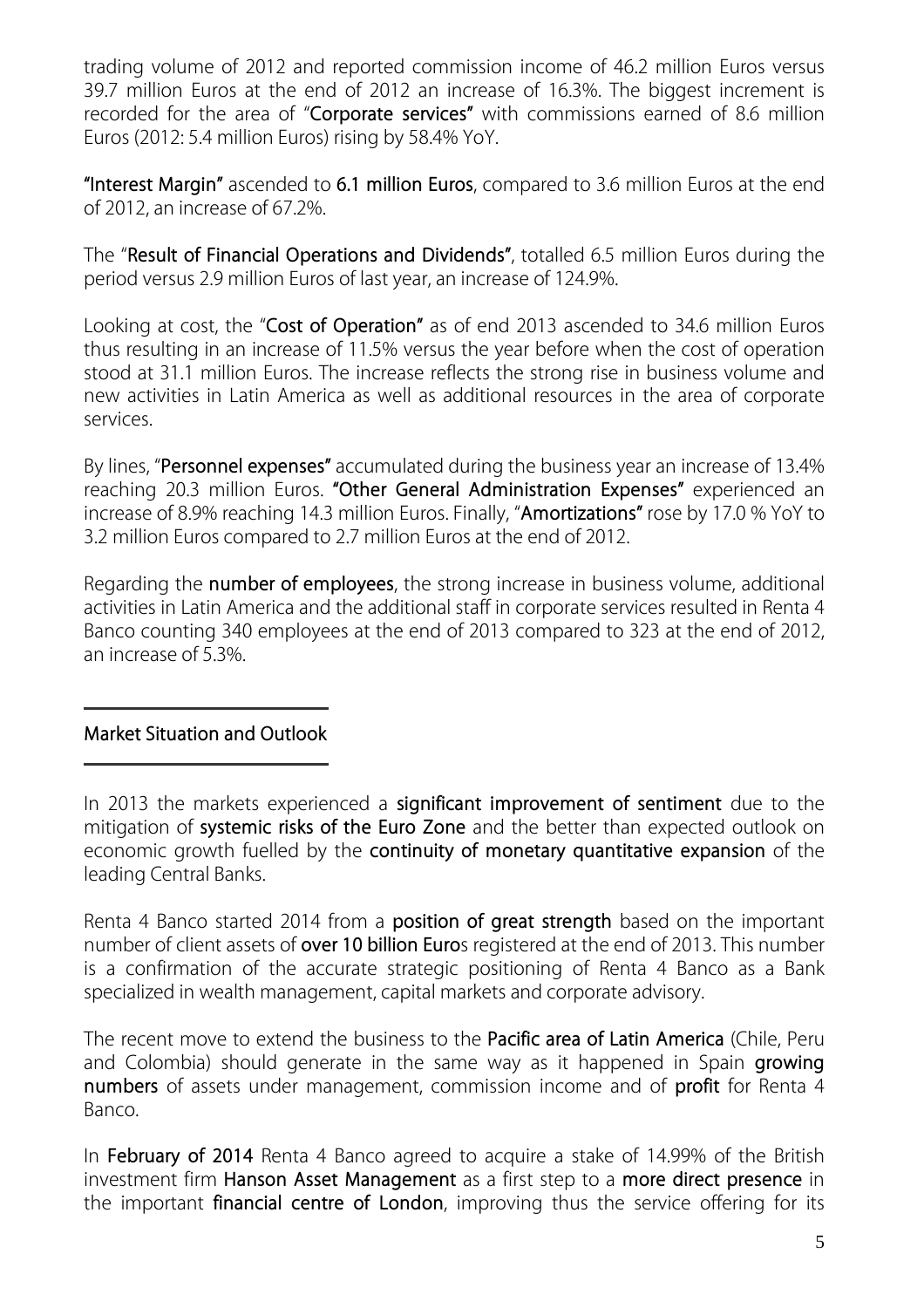trading volume of 2012 and reported commission income of 46.2 million Euros versus 39.7 million Euros at the end of 2012 an increase of 16.3%. The biggest increment is recorded for the area of "**Corporate services"** with commissions earned of 8.6 million Euros (2012: 5.4 million Euros) rising by 58.4% YoY.

**"Interest Margin"** ascended to **6.1 million Euros**, compared to 3.6 million Euros at the end of 2012, an increase of 67.2%.

The "**Result of Financial Operations and Dividends"**, totalled 6.5 million Euros during the period versus 2.9 million Euros of last year, an increase of 124.9%.

Looking at cost, the "**Cost of Operation"** as of end 2013 ascended to 34.6 million Euros thus resulting in an increase of 11.5% versus the year before when the cost of operation stood at 31.1 million Euros. The increase reflects the strong rise in business volume and new activities in Latin America as well as additional resources in the area of corporate services.

By lines, "**Personnel expenses"** accumulated during the business year an increase of 13.4% reaching 20.3 million Euros. **"Other General Administration Expenses"** experienced an increase of 8.9% reaching 14.3 million Euros. Finally, "**Amortizations"** rose by 17.0 % YoY to 3.2 million Euros compared to 2.7 million Euros at the end of 2012.

Regarding the **number of employees**, the strong increase in business volume, additional activities in Latin America and the additional staff in corporate services resulted in Renta 4 Banco counting 340 employees at the end of 2013 compared to 323 at the end of 2012, an increase of 5.3%.

#### **Market Situation and Outlook**

In 2013 the markets experienced a **significant improvement of sentiment** due to the mitigation of **systemic risks of the Euro Zone** and the better than expected outlook on economic growth fuelled by the **continuity of monetary quantitative expansion** of the leading Central Banks.

Renta 4 Banco started 2014 from a **position of great strength** based on the important number of client assets of **over 10 billion Euro**s registered at the end of 2013. This number is a confirmation of the accurate strategic positioning of Renta 4 Banco as a Bank specialized in wealth management, capital markets and corporate advisory.

The recent move to extend the business to the **Pacific area of Latin America** (Chile, Peru and Colombia) should generate in the same way as it happened in Spain **growing numbers** of assets under management, commission income and of **profit** for Renta 4 Banco.

In **February of 2014** Renta 4 Banco agreed to acquire a stake of 14.99% of the British investment firm **Hanson Asset Management** as a first step to a **more direct presence** in the important **financial centre of London**, improving thus the service offering for its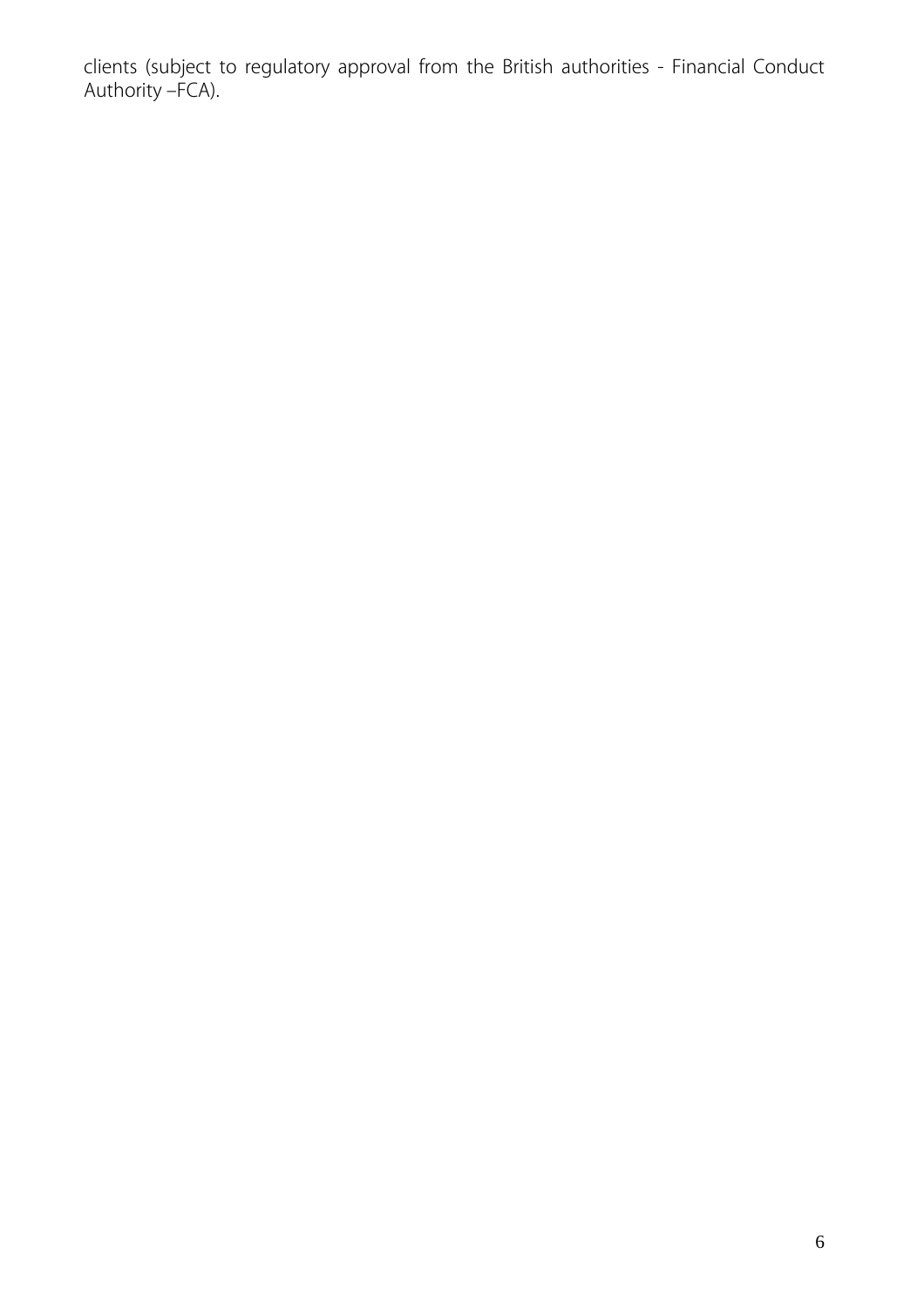clients (subject to regulatory approval from the British authorities - Financial Conduct Authority –FCA).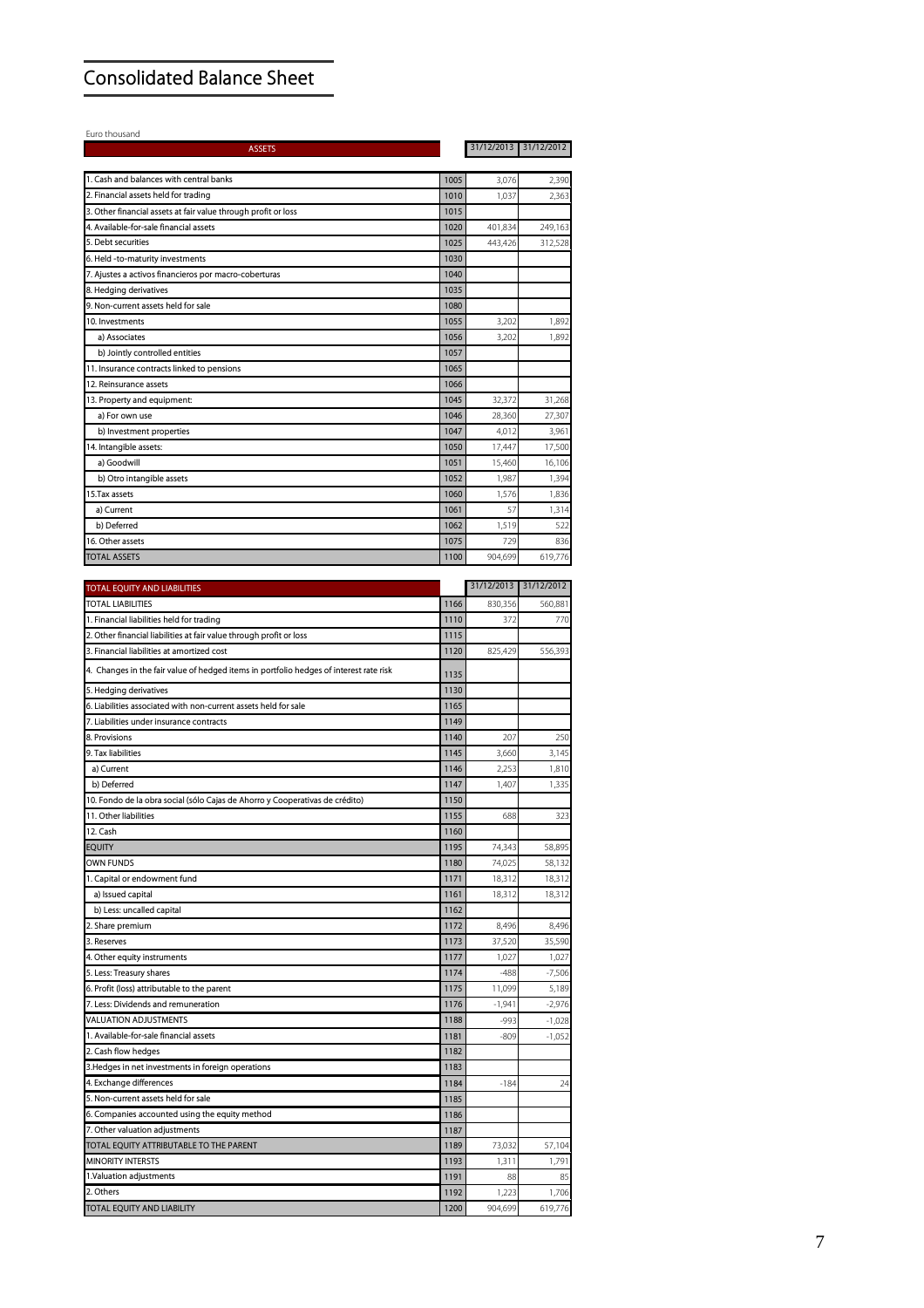# **Consolidated Balance Sheet**

Euro thousand

| 1. Cash and balances with central banks<br>1005<br>3,076<br>2. Financial assets held for trading<br>1010<br>1,037<br>2,363<br>3. Other financial assets at fair value through profit or loss<br>1015<br>4. Available-for-sale financial assets<br>1020<br>401,834<br>249,163<br>5. Debt securities<br>1025<br>443,426<br>312,528<br>6. Held -to-maturity investments<br>1030<br>7. Ajustes a activos financieros por macro-coberturas<br>1040<br>8. Hedging derivatives<br>1035<br>9. Non-current assets held for sale<br>1080<br>0. Investments<br>1055<br>3,202<br>1,892<br>a) Associates<br>1056<br>3,202<br>1,892<br>b) Jointly controlled entities<br>1057<br>11. Insurance contracts linked to pensions<br>1065<br>1066<br>12. Reinsurance assets<br>13. Property and equipment:<br>1045<br>32,372<br>a) For own use<br>1046<br>28,360<br>1047<br>b) Investment properties<br>4,012<br>14. Intangible assets:<br>17,447<br>1050<br>a) Goodwill<br>1051<br>15,460<br>b) Otro intangible assets<br>1052<br>1,987<br>5. Tax assets<br>1060<br>1,576<br>57<br>a) Current<br>1061<br>b) Deferred<br>1062<br>1,519<br>16. Other assets<br>1075<br>729<br><b>TOTAL ASSETS</b><br>1100<br>904,699<br>31/12/2013<br>TOTAL LIABILITIES<br>830,356<br>1166<br>1. Financial liabilities held for trading<br>1110<br>372<br>2. Other financial liabilities at fair value through profit or loss<br>1115<br>3. Financial liabilities at amortized cost<br>1120<br>825,429<br>4. Changes in the fair value of hedged items in portfolio hedges of interest rate risk<br>1135<br>1130<br>5. Hedging derivatives<br>6. Liabilities associated with non-current assets held for sale<br>1165<br>1149<br>7. Liabilities under insurance contracts<br>8. Provisions<br>1140<br>207<br>250<br>9. Tax liabilities<br>3,145<br>1145<br>3,660<br>1146<br>2,253<br>a) Current<br>1,810<br>b) Deferred<br>1147<br>1,407<br>0. Fondo de la obra social (sólo Cajas de Ahorro y Cooperativas de crédito)<br>1150<br>11. Other liabilities<br>1155<br>688<br>12. Cash<br>1160<br><b>EQUITY</b><br>1195<br>74,343<br>1180<br>74,025<br>1. Capital or endowment fund<br>1171<br>18,312<br>a) Issued capital<br>1161<br>18,312<br>b) Less: uncalled capital<br>1162<br>2. Share premium<br>1172<br>8,496<br>1173<br>37,520<br>1177<br>1,027<br>1174<br>$-488$<br>1175<br>11,099<br>7. Less: Dividends and remuneration<br>1176<br>$-1,941$<br><b>VALUATION ADJUSTMENTS</b><br>1188<br>-993<br>1181<br>$-809$<br>1182<br>1183<br>1184<br>$-184$<br>5. Non-current assets held for sale<br>1185<br>1186<br>7. Other valuation adjustments<br>1187<br>TOTAL EQUITY ATTRIBUTABLE TO THE PARENT<br>1189<br>73,032<br><b>MINORITY INTERSTS</b><br>1193<br>1,311<br>1191<br>1.Valuation adjustments<br>88<br>1192<br>1,223<br>2. Others<br>TOTAL EQUITY AND LIABILITY<br>1200<br>904,699 | <b>ASSETS</b>                                      | 31/12/2013 | 31/12/2012 |
|---------------------------------------------------------------------------------------------------------------------------------------------------------------------------------------------------------------------------------------------------------------------------------------------------------------------------------------------------------------------------------------------------------------------------------------------------------------------------------------------------------------------------------------------------------------------------------------------------------------------------------------------------------------------------------------------------------------------------------------------------------------------------------------------------------------------------------------------------------------------------------------------------------------------------------------------------------------------------------------------------------------------------------------------------------------------------------------------------------------------------------------------------------------------------------------------------------------------------------------------------------------------------------------------------------------------------------------------------------------------------------------------------------------------------------------------------------------------------------------------------------------------------------------------------------------------------------------------------------------------------------------------------------------------------------------------------------------------------------------------------------------------------------------------------------------------------------------------------------------------------------------------------------------------------------------------------------------------------------------------------------------------------------------------------------------------------------------------------------------------------------------------------------------------------------------------------------------------------------------------------------------------------------------------------------------------------------------------------------------------------------------------------------------------------------------------------------------------------------------------------------------------------------------------------------------------------------------------------------------------------------------------------------------------------------------------------------------------------------------------------------------------------------------------------------------------------------------------------------|----------------------------------------------------|------------|------------|
|                                                                                                                                                                                                                                                                                                                                                                                                                                                                                                                                                                                                                                                                                                                                                                                                                                                                                                                                                                                                                                                                                                                                                                                                                                                                                                                                                                                                                                                                                                                                                                                                                                                                                                                                                                                                                                                                                                                                                                                                                                                                                                                                                                                                                                                                                                                                                                                                                                                                                                                                                                                                                                                                                                                                                                                                                                                         |                                                    |            |            |
|                                                                                                                                                                                                                                                                                                                                                                                                                                                                                                                                                                                                                                                                                                                                                                                                                                                                                                                                                                                                                                                                                                                                                                                                                                                                                                                                                                                                                                                                                                                                                                                                                                                                                                                                                                                                                                                                                                                                                                                                                                                                                                                                                                                                                                                                                                                                                                                                                                                                                                                                                                                                                                                                                                                                                                                                                                                         |                                                    |            | 2,390      |
|                                                                                                                                                                                                                                                                                                                                                                                                                                                                                                                                                                                                                                                                                                                                                                                                                                                                                                                                                                                                                                                                                                                                                                                                                                                                                                                                                                                                                                                                                                                                                                                                                                                                                                                                                                                                                                                                                                                                                                                                                                                                                                                                                                                                                                                                                                                                                                                                                                                                                                                                                                                                                                                                                                                                                                                                                                                         |                                                    |            |            |
|                                                                                                                                                                                                                                                                                                                                                                                                                                                                                                                                                                                                                                                                                                                                                                                                                                                                                                                                                                                                                                                                                                                                                                                                                                                                                                                                                                                                                                                                                                                                                                                                                                                                                                                                                                                                                                                                                                                                                                                                                                                                                                                                                                                                                                                                                                                                                                                                                                                                                                                                                                                                                                                                                                                                                                                                                                                         |                                                    |            |            |
|                                                                                                                                                                                                                                                                                                                                                                                                                                                                                                                                                                                                                                                                                                                                                                                                                                                                                                                                                                                                                                                                                                                                                                                                                                                                                                                                                                                                                                                                                                                                                                                                                                                                                                                                                                                                                                                                                                                                                                                                                                                                                                                                                                                                                                                                                                                                                                                                                                                                                                                                                                                                                                                                                                                                                                                                                                                         |                                                    |            |            |
|                                                                                                                                                                                                                                                                                                                                                                                                                                                                                                                                                                                                                                                                                                                                                                                                                                                                                                                                                                                                                                                                                                                                                                                                                                                                                                                                                                                                                                                                                                                                                                                                                                                                                                                                                                                                                                                                                                                                                                                                                                                                                                                                                                                                                                                                                                                                                                                                                                                                                                                                                                                                                                                                                                                                                                                                                                                         |                                                    |            |            |
|                                                                                                                                                                                                                                                                                                                                                                                                                                                                                                                                                                                                                                                                                                                                                                                                                                                                                                                                                                                                                                                                                                                                                                                                                                                                                                                                                                                                                                                                                                                                                                                                                                                                                                                                                                                                                                                                                                                                                                                                                                                                                                                                                                                                                                                                                                                                                                                                                                                                                                                                                                                                                                                                                                                                                                                                                                                         |                                                    |            |            |
|                                                                                                                                                                                                                                                                                                                                                                                                                                                                                                                                                                                                                                                                                                                                                                                                                                                                                                                                                                                                                                                                                                                                                                                                                                                                                                                                                                                                                                                                                                                                                                                                                                                                                                                                                                                                                                                                                                                                                                                                                                                                                                                                                                                                                                                                                                                                                                                                                                                                                                                                                                                                                                                                                                                                                                                                                                                         |                                                    |            |            |
|                                                                                                                                                                                                                                                                                                                                                                                                                                                                                                                                                                                                                                                                                                                                                                                                                                                                                                                                                                                                                                                                                                                                                                                                                                                                                                                                                                                                                                                                                                                                                                                                                                                                                                                                                                                                                                                                                                                                                                                                                                                                                                                                                                                                                                                                                                                                                                                                                                                                                                                                                                                                                                                                                                                                                                                                                                                         |                                                    |            |            |
|                                                                                                                                                                                                                                                                                                                                                                                                                                                                                                                                                                                                                                                                                                                                                                                                                                                                                                                                                                                                                                                                                                                                                                                                                                                                                                                                                                                                                                                                                                                                                                                                                                                                                                                                                                                                                                                                                                                                                                                                                                                                                                                                                                                                                                                                                                                                                                                                                                                                                                                                                                                                                                                                                                                                                                                                                                                         |                                                    |            |            |
|                                                                                                                                                                                                                                                                                                                                                                                                                                                                                                                                                                                                                                                                                                                                                                                                                                                                                                                                                                                                                                                                                                                                                                                                                                                                                                                                                                                                                                                                                                                                                                                                                                                                                                                                                                                                                                                                                                                                                                                                                                                                                                                                                                                                                                                                                                                                                                                                                                                                                                                                                                                                                                                                                                                                                                                                                                                         |                                                    |            |            |
|                                                                                                                                                                                                                                                                                                                                                                                                                                                                                                                                                                                                                                                                                                                                                                                                                                                                                                                                                                                                                                                                                                                                                                                                                                                                                                                                                                                                                                                                                                                                                                                                                                                                                                                                                                                                                                                                                                                                                                                                                                                                                                                                                                                                                                                                                                                                                                                                                                                                                                                                                                                                                                                                                                                                                                                                                                                         |                                                    |            |            |
|                                                                                                                                                                                                                                                                                                                                                                                                                                                                                                                                                                                                                                                                                                                                                                                                                                                                                                                                                                                                                                                                                                                                                                                                                                                                                                                                                                                                                                                                                                                                                                                                                                                                                                                                                                                                                                                                                                                                                                                                                                                                                                                                                                                                                                                                                                                                                                                                                                                                                                                                                                                                                                                                                                                                                                                                                                                         |                                                    |            |            |
|                                                                                                                                                                                                                                                                                                                                                                                                                                                                                                                                                                                                                                                                                                                                                                                                                                                                                                                                                                                                                                                                                                                                                                                                                                                                                                                                                                                                                                                                                                                                                                                                                                                                                                                                                                                                                                                                                                                                                                                                                                                                                                                                                                                                                                                                                                                                                                                                                                                                                                                                                                                                                                                                                                                                                                                                                                                         |                                                    |            |            |
|                                                                                                                                                                                                                                                                                                                                                                                                                                                                                                                                                                                                                                                                                                                                                                                                                                                                                                                                                                                                                                                                                                                                                                                                                                                                                                                                                                                                                                                                                                                                                                                                                                                                                                                                                                                                                                                                                                                                                                                                                                                                                                                                                                                                                                                                                                                                                                                                                                                                                                                                                                                                                                                                                                                                                                                                                                                         |                                                    |            | 31,268     |
|                                                                                                                                                                                                                                                                                                                                                                                                                                                                                                                                                                                                                                                                                                                                                                                                                                                                                                                                                                                                                                                                                                                                                                                                                                                                                                                                                                                                                                                                                                                                                                                                                                                                                                                                                                                                                                                                                                                                                                                                                                                                                                                                                                                                                                                                                                                                                                                                                                                                                                                                                                                                                                                                                                                                                                                                                                                         |                                                    |            | 27,307     |
|                                                                                                                                                                                                                                                                                                                                                                                                                                                                                                                                                                                                                                                                                                                                                                                                                                                                                                                                                                                                                                                                                                                                                                                                                                                                                                                                                                                                                                                                                                                                                                                                                                                                                                                                                                                                                                                                                                                                                                                                                                                                                                                                                                                                                                                                                                                                                                                                                                                                                                                                                                                                                                                                                                                                                                                                                                                         |                                                    |            | 3,961      |
|                                                                                                                                                                                                                                                                                                                                                                                                                                                                                                                                                                                                                                                                                                                                                                                                                                                                                                                                                                                                                                                                                                                                                                                                                                                                                                                                                                                                                                                                                                                                                                                                                                                                                                                                                                                                                                                                                                                                                                                                                                                                                                                                                                                                                                                                                                                                                                                                                                                                                                                                                                                                                                                                                                                                                                                                                                                         |                                                    |            | 17,500     |
|                                                                                                                                                                                                                                                                                                                                                                                                                                                                                                                                                                                                                                                                                                                                                                                                                                                                                                                                                                                                                                                                                                                                                                                                                                                                                                                                                                                                                                                                                                                                                                                                                                                                                                                                                                                                                                                                                                                                                                                                                                                                                                                                                                                                                                                                                                                                                                                                                                                                                                                                                                                                                                                                                                                                                                                                                                                         |                                                    |            | 16,106     |
|                                                                                                                                                                                                                                                                                                                                                                                                                                                                                                                                                                                                                                                                                                                                                                                                                                                                                                                                                                                                                                                                                                                                                                                                                                                                                                                                                                                                                                                                                                                                                                                                                                                                                                                                                                                                                                                                                                                                                                                                                                                                                                                                                                                                                                                                                                                                                                                                                                                                                                                                                                                                                                                                                                                                                                                                                                                         |                                                    |            | 1,394      |
|                                                                                                                                                                                                                                                                                                                                                                                                                                                                                                                                                                                                                                                                                                                                                                                                                                                                                                                                                                                                                                                                                                                                                                                                                                                                                                                                                                                                                                                                                                                                                                                                                                                                                                                                                                                                                                                                                                                                                                                                                                                                                                                                                                                                                                                                                                                                                                                                                                                                                                                                                                                                                                                                                                                                                                                                                                                         |                                                    |            | 1,836      |
|                                                                                                                                                                                                                                                                                                                                                                                                                                                                                                                                                                                                                                                                                                                                                                                                                                                                                                                                                                                                                                                                                                                                                                                                                                                                                                                                                                                                                                                                                                                                                                                                                                                                                                                                                                                                                                                                                                                                                                                                                                                                                                                                                                                                                                                                                                                                                                                                                                                                                                                                                                                                                                                                                                                                                                                                                                                         |                                                    |            | 1,314      |
|                                                                                                                                                                                                                                                                                                                                                                                                                                                                                                                                                                                                                                                                                                                                                                                                                                                                                                                                                                                                                                                                                                                                                                                                                                                                                                                                                                                                                                                                                                                                                                                                                                                                                                                                                                                                                                                                                                                                                                                                                                                                                                                                                                                                                                                                                                                                                                                                                                                                                                                                                                                                                                                                                                                                                                                                                                                         |                                                    |            | 522        |
|                                                                                                                                                                                                                                                                                                                                                                                                                                                                                                                                                                                                                                                                                                                                                                                                                                                                                                                                                                                                                                                                                                                                                                                                                                                                                                                                                                                                                                                                                                                                                                                                                                                                                                                                                                                                                                                                                                                                                                                                                                                                                                                                                                                                                                                                                                                                                                                                                                                                                                                                                                                                                                                                                                                                                                                                                                                         |                                                    |            | 836        |
|                                                                                                                                                                                                                                                                                                                                                                                                                                                                                                                                                                                                                                                                                                                                                                                                                                                                                                                                                                                                                                                                                                                                                                                                                                                                                                                                                                                                                                                                                                                                                                                                                                                                                                                                                                                                                                                                                                                                                                                                                                                                                                                                                                                                                                                                                                                                                                                                                                                                                                                                                                                                                                                                                                                                                                                                                                                         |                                                    |            | 619,776    |
|                                                                                                                                                                                                                                                                                                                                                                                                                                                                                                                                                                                                                                                                                                                                                                                                                                                                                                                                                                                                                                                                                                                                                                                                                                                                                                                                                                                                                                                                                                                                                                                                                                                                                                                                                                                                                                                                                                                                                                                                                                                                                                                                                                                                                                                                                                                                                                                                                                                                                                                                                                                                                                                                                                                                                                                                                                                         |                                                    |            |            |
|                                                                                                                                                                                                                                                                                                                                                                                                                                                                                                                                                                                                                                                                                                                                                                                                                                                                                                                                                                                                                                                                                                                                                                                                                                                                                                                                                                                                                                                                                                                                                                                                                                                                                                                                                                                                                                                                                                                                                                                                                                                                                                                                                                                                                                                                                                                                                                                                                                                                                                                                                                                                                                                                                                                                                                                                                                                         | TOTAL EQUITY AND LIABILITIES                       |            | 31/12/2012 |
|                                                                                                                                                                                                                                                                                                                                                                                                                                                                                                                                                                                                                                                                                                                                                                                                                                                                                                                                                                                                                                                                                                                                                                                                                                                                                                                                                                                                                                                                                                                                                                                                                                                                                                                                                                                                                                                                                                                                                                                                                                                                                                                                                                                                                                                                                                                                                                                                                                                                                                                                                                                                                                                                                                                                                                                                                                                         |                                                    |            | 560,881    |
|                                                                                                                                                                                                                                                                                                                                                                                                                                                                                                                                                                                                                                                                                                                                                                                                                                                                                                                                                                                                                                                                                                                                                                                                                                                                                                                                                                                                                                                                                                                                                                                                                                                                                                                                                                                                                                                                                                                                                                                                                                                                                                                                                                                                                                                                                                                                                                                                                                                                                                                                                                                                                                                                                                                                                                                                                                                         |                                                    |            | 770        |
|                                                                                                                                                                                                                                                                                                                                                                                                                                                                                                                                                                                                                                                                                                                                                                                                                                                                                                                                                                                                                                                                                                                                                                                                                                                                                                                                                                                                                                                                                                                                                                                                                                                                                                                                                                                                                                                                                                                                                                                                                                                                                                                                                                                                                                                                                                                                                                                                                                                                                                                                                                                                                                                                                                                                                                                                                                                         |                                                    |            |            |
|                                                                                                                                                                                                                                                                                                                                                                                                                                                                                                                                                                                                                                                                                                                                                                                                                                                                                                                                                                                                                                                                                                                                                                                                                                                                                                                                                                                                                                                                                                                                                                                                                                                                                                                                                                                                                                                                                                                                                                                                                                                                                                                                                                                                                                                                                                                                                                                                                                                                                                                                                                                                                                                                                                                                                                                                                                                         |                                                    |            | 556,393    |
|                                                                                                                                                                                                                                                                                                                                                                                                                                                                                                                                                                                                                                                                                                                                                                                                                                                                                                                                                                                                                                                                                                                                                                                                                                                                                                                                                                                                                                                                                                                                                                                                                                                                                                                                                                                                                                                                                                                                                                                                                                                                                                                                                                                                                                                                                                                                                                                                                                                                                                                                                                                                                                                                                                                                                                                                                                                         |                                                    |            |            |
|                                                                                                                                                                                                                                                                                                                                                                                                                                                                                                                                                                                                                                                                                                                                                                                                                                                                                                                                                                                                                                                                                                                                                                                                                                                                                                                                                                                                                                                                                                                                                                                                                                                                                                                                                                                                                                                                                                                                                                                                                                                                                                                                                                                                                                                                                                                                                                                                                                                                                                                                                                                                                                                                                                                                                                                                                                                         |                                                    |            |            |
|                                                                                                                                                                                                                                                                                                                                                                                                                                                                                                                                                                                                                                                                                                                                                                                                                                                                                                                                                                                                                                                                                                                                                                                                                                                                                                                                                                                                                                                                                                                                                                                                                                                                                                                                                                                                                                                                                                                                                                                                                                                                                                                                                                                                                                                                                                                                                                                                                                                                                                                                                                                                                                                                                                                                                                                                                                                         |                                                    |            |            |
|                                                                                                                                                                                                                                                                                                                                                                                                                                                                                                                                                                                                                                                                                                                                                                                                                                                                                                                                                                                                                                                                                                                                                                                                                                                                                                                                                                                                                                                                                                                                                                                                                                                                                                                                                                                                                                                                                                                                                                                                                                                                                                                                                                                                                                                                                                                                                                                                                                                                                                                                                                                                                                                                                                                                                                                                                                                         |                                                    |            |            |
|                                                                                                                                                                                                                                                                                                                                                                                                                                                                                                                                                                                                                                                                                                                                                                                                                                                                                                                                                                                                                                                                                                                                                                                                                                                                                                                                                                                                                                                                                                                                                                                                                                                                                                                                                                                                                                                                                                                                                                                                                                                                                                                                                                                                                                                                                                                                                                                                                                                                                                                                                                                                                                                                                                                                                                                                                                                         |                                                    |            |            |
|                                                                                                                                                                                                                                                                                                                                                                                                                                                                                                                                                                                                                                                                                                                                                                                                                                                                                                                                                                                                                                                                                                                                                                                                                                                                                                                                                                                                                                                                                                                                                                                                                                                                                                                                                                                                                                                                                                                                                                                                                                                                                                                                                                                                                                                                                                                                                                                                                                                                                                                                                                                                                                                                                                                                                                                                                                                         |                                                    |            |            |
|                                                                                                                                                                                                                                                                                                                                                                                                                                                                                                                                                                                                                                                                                                                                                                                                                                                                                                                                                                                                                                                                                                                                                                                                                                                                                                                                                                                                                                                                                                                                                                                                                                                                                                                                                                                                                                                                                                                                                                                                                                                                                                                                                                                                                                                                                                                                                                                                                                                                                                                                                                                                                                                                                                                                                                                                                                                         |                                                    |            |            |
|                                                                                                                                                                                                                                                                                                                                                                                                                                                                                                                                                                                                                                                                                                                                                                                                                                                                                                                                                                                                                                                                                                                                                                                                                                                                                                                                                                                                                                                                                                                                                                                                                                                                                                                                                                                                                                                                                                                                                                                                                                                                                                                                                                                                                                                                                                                                                                                                                                                                                                                                                                                                                                                                                                                                                                                                                                                         |                                                    |            | 1,335      |
|                                                                                                                                                                                                                                                                                                                                                                                                                                                                                                                                                                                                                                                                                                                                                                                                                                                                                                                                                                                                                                                                                                                                                                                                                                                                                                                                                                                                                                                                                                                                                                                                                                                                                                                                                                                                                                                                                                                                                                                                                                                                                                                                                                                                                                                                                                                                                                                                                                                                                                                                                                                                                                                                                                                                                                                                                                                         |                                                    |            |            |
|                                                                                                                                                                                                                                                                                                                                                                                                                                                                                                                                                                                                                                                                                                                                                                                                                                                                                                                                                                                                                                                                                                                                                                                                                                                                                                                                                                                                                                                                                                                                                                                                                                                                                                                                                                                                                                                                                                                                                                                                                                                                                                                                                                                                                                                                                                                                                                                                                                                                                                                                                                                                                                                                                                                                                                                                                                                         |                                                    |            | 323        |
|                                                                                                                                                                                                                                                                                                                                                                                                                                                                                                                                                                                                                                                                                                                                                                                                                                                                                                                                                                                                                                                                                                                                                                                                                                                                                                                                                                                                                                                                                                                                                                                                                                                                                                                                                                                                                                                                                                                                                                                                                                                                                                                                                                                                                                                                                                                                                                                                                                                                                                                                                                                                                                                                                                                                                                                                                                                         |                                                    |            |            |
|                                                                                                                                                                                                                                                                                                                                                                                                                                                                                                                                                                                                                                                                                                                                                                                                                                                                                                                                                                                                                                                                                                                                                                                                                                                                                                                                                                                                                                                                                                                                                                                                                                                                                                                                                                                                                                                                                                                                                                                                                                                                                                                                                                                                                                                                                                                                                                                                                                                                                                                                                                                                                                                                                                                                                                                                                                                         |                                                    |            | 58,895     |
|                                                                                                                                                                                                                                                                                                                                                                                                                                                                                                                                                                                                                                                                                                                                                                                                                                                                                                                                                                                                                                                                                                                                                                                                                                                                                                                                                                                                                                                                                                                                                                                                                                                                                                                                                                                                                                                                                                                                                                                                                                                                                                                                                                                                                                                                                                                                                                                                                                                                                                                                                                                                                                                                                                                                                                                                                                                         | <b>OWN FUNDS</b>                                   |            | 58,132     |
|                                                                                                                                                                                                                                                                                                                                                                                                                                                                                                                                                                                                                                                                                                                                                                                                                                                                                                                                                                                                                                                                                                                                                                                                                                                                                                                                                                                                                                                                                                                                                                                                                                                                                                                                                                                                                                                                                                                                                                                                                                                                                                                                                                                                                                                                                                                                                                                                                                                                                                                                                                                                                                                                                                                                                                                                                                                         |                                                    |            | 18,312     |
|                                                                                                                                                                                                                                                                                                                                                                                                                                                                                                                                                                                                                                                                                                                                                                                                                                                                                                                                                                                                                                                                                                                                                                                                                                                                                                                                                                                                                                                                                                                                                                                                                                                                                                                                                                                                                                                                                                                                                                                                                                                                                                                                                                                                                                                                                                                                                                                                                                                                                                                                                                                                                                                                                                                                                                                                                                                         |                                                    |            | 18,312     |
|                                                                                                                                                                                                                                                                                                                                                                                                                                                                                                                                                                                                                                                                                                                                                                                                                                                                                                                                                                                                                                                                                                                                                                                                                                                                                                                                                                                                                                                                                                                                                                                                                                                                                                                                                                                                                                                                                                                                                                                                                                                                                                                                                                                                                                                                                                                                                                                                                                                                                                                                                                                                                                                                                                                                                                                                                                                         |                                                    |            |            |
|                                                                                                                                                                                                                                                                                                                                                                                                                                                                                                                                                                                                                                                                                                                                                                                                                                                                                                                                                                                                                                                                                                                                                                                                                                                                                                                                                                                                                                                                                                                                                                                                                                                                                                                                                                                                                                                                                                                                                                                                                                                                                                                                                                                                                                                                                                                                                                                                                                                                                                                                                                                                                                                                                                                                                                                                                                                         |                                                    |            | 8,496      |
|                                                                                                                                                                                                                                                                                                                                                                                                                                                                                                                                                                                                                                                                                                                                                                                                                                                                                                                                                                                                                                                                                                                                                                                                                                                                                                                                                                                                                                                                                                                                                                                                                                                                                                                                                                                                                                                                                                                                                                                                                                                                                                                                                                                                                                                                                                                                                                                                                                                                                                                                                                                                                                                                                                                                                                                                                                                         | 3. Reserves                                        |            | 35,590     |
|                                                                                                                                                                                                                                                                                                                                                                                                                                                                                                                                                                                                                                                                                                                                                                                                                                                                                                                                                                                                                                                                                                                                                                                                                                                                                                                                                                                                                                                                                                                                                                                                                                                                                                                                                                                                                                                                                                                                                                                                                                                                                                                                                                                                                                                                                                                                                                                                                                                                                                                                                                                                                                                                                                                                                                                                                                                         | 4. Other equity instruments                        |            | 1,027      |
|                                                                                                                                                                                                                                                                                                                                                                                                                                                                                                                                                                                                                                                                                                                                                                                                                                                                                                                                                                                                                                                                                                                                                                                                                                                                                                                                                                                                                                                                                                                                                                                                                                                                                                                                                                                                                                                                                                                                                                                                                                                                                                                                                                                                                                                                                                                                                                                                                                                                                                                                                                                                                                                                                                                                                                                                                                                         | 5. Less: Treasury shares                           |            | $-7,506$   |
|                                                                                                                                                                                                                                                                                                                                                                                                                                                                                                                                                                                                                                                                                                                                                                                                                                                                                                                                                                                                                                                                                                                                                                                                                                                                                                                                                                                                                                                                                                                                                                                                                                                                                                                                                                                                                                                                                                                                                                                                                                                                                                                                                                                                                                                                                                                                                                                                                                                                                                                                                                                                                                                                                                                                                                                                                                                         | 6. Profit (loss) attributable to the parent        |            | 5,189      |
|                                                                                                                                                                                                                                                                                                                                                                                                                                                                                                                                                                                                                                                                                                                                                                                                                                                                                                                                                                                                                                                                                                                                                                                                                                                                                                                                                                                                                                                                                                                                                                                                                                                                                                                                                                                                                                                                                                                                                                                                                                                                                                                                                                                                                                                                                                                                                                                                                                                                                                                                                                                                                                                                                                                                                                                                                                                         |                                                    |            | $-2,976$   |
|                                                                                                                                                                                                                                                                                                                                                                                                                                                                                                                                                                                                                                                                                                                                                                                                                                                                                                                                                                                                                                                                                                                                                                                                                                                                                                                                                                                                                                                                                                                                                                                                                                                                                                                                                                                                                                                                                                                                                                                                                                                                                                                                                                                                                                                                                                                                                                                                                                                                                                                                                                                                                                                                                                                                                                                                                                                         |                                                    |            | $-1,028$   |
|                                                                                                                                                                                                                                                                                                                                                                                                                                                                                                                                                                                                                                                                                                                                                                                                                                                                                                                                                                                                                                                                                                                                                                                                                                                                                                                                                                                                                                                                                                                                                                                                                                                                                                                                                                                                                                                                                                                                                                                                                                                                                                                                                                                                                                                                                                                                                                                                                                                                                                                                                                                                                                                                                                                                                                                                                                                         | 1. Available-for-sale financial assets             |            | $-1,052$   |
|                                                                                                                                                                                                                                                                                                                                                                                                                                                                                                                                                                                                                                                                                                                                                                                                                                                                                                                                                                                                                                                                                                                                                                                                                                                                                                                                                                                                                                                                                                                                                                                                                                                                                                                                                                                                                                                                                                                                                                                                                                                                                                                                                                                                                                                                                                                                                                                                                                                                                                                                                                                                                                                                                                                                                                                                                                                         | 2. Cash flow hedges                                |            |            |
|                                                                                                                                                                                                                                                                                                                                                                                                                                                                                                                                                                                                                                                                                                                                                                                                                                                                                                                                                                                                                                                                                                                                                                                                                                                                                                                                                                                                                                                                                                                                                                                                                                                                                                                                                                                                                                                                                                                                                                                                                                                                                                                                                                                                                                                                                                                                                                                                                                                                                                                                                                                                                                                                                                                                                                                                                                                         | 3. Hedges in net investments in foreign operations |            |            |
|                                                                                                                                                                                                                                                                                                                                                                                                                                                                                                                                                                                                                                                                                                                                                                                                                                                                                                                                                                                                                                                                                                                                                                                                                                                                                                                                                                                                                                                                                                                                                                                                                                                                                                                                                                                                                                                                                                                                                                                                                                                                                                                                                                                                                                                                                                                                                                                                                                                                                                                                                                                                                                                                                                                                                                                                                                                         | 4. Exchange differences                            |            | 24         |
|                                                                                                                                                                                                                                                                                                                                                                                                                                                                                                                                                                                                                                                                                                                                                                                                                                                                                                                                                                                                                                                                                                                                                                                                                                                                                                                                                                                                                                                                                                                                                                                                                                                                                                                                                                                                                                                                                                                                                                                                                                                                                                                                                                                                                                                                                                                                                                                                                                                                                                                                                                                                                                                                                                                                                                                                                                                         |                                                    |            |            |
|                                                                                                                                                                                                                                                                                                                                                                                                                                                                                                                                                                                                                                                                                                                                                                                                                                                                                                                                                                                                                                                                                                                                                                                                                                                                                                                                                                                                                                                                                                                                                                                                                                                                                                                                                                                                                                                                                                                                                                                                                                                                                                                                                                                                                                                                                                                                                                                                                                                                                                                                                                                                                                                                                                                                                                                                                                                         | 6. Companies accounted using the equity method     |            |            |
|                                                                                                                                                                                                                                                                                                                                                                                                                                                                                                                                                                                                                                                                                                                                                                                                                                                                                                                                                                                                                                                                                                                                                                                                                                                                                                                                                                                                                                                                                                                                                                                                                                                                                                                                                                                                                                                                                                                                                                                                                                                                                                                                                                                                                                                                                                                                                                                                                                                                                                                                                                                                                                                                                                                                                                                                                                                         |                                                    |            |            |
|                                                                                                                                                                                                                                                                                                                                                                                                                                                                                                                                                                                                                                                                                                                                                                                                                                                                                                                                                                                                                                                                                                                                                                                                                                                                                                                                                                                                                                                                                                                                                                                                                                                                                                                                                                                                                                                                                                                                                                                                                                                                                                                                                                                                                                                                                                                                                                                                                                                                                                                                                                                                                                                                                                                                                                                                                                                         |                                                    |            | 57,104     |
|                                                                                                                                                                                                                                                                                                                                                                                                                                                                                                                                                                                                                                                                                                                                                                                                                                                                                                                                                                                                                                                                                                                                                                                                                                                                                                                                                                                                                                                                                                                                                                                                                                                                                                                                                                                                                                                                                                                                                                                                                                                                                                                                                                                                                                                                                                                                                                                                                                                                                                                                                                                                                                                                                                                                                                                                                                                         |                                                    |            | 1,791      |
|                                                                                                                                                                                                                                                                                                                                                                                                                                                                                                                                                                                                                                                                                                                                                                                                                                                                                                                                                                                                                                                                                                                                                                                                                                                                                                                                                                                                                                                                                                                                                                                                                                                                                                                                                                                                                                                                                                                                                                                                                                                                                                                                                                                                                                                                                                                                                                                                                                                                                                                                                                                                                                                                                                                                                                                                                                                         |                                                    |            | 85         |
|                                                                                                                                                                                                                                                                                                                                                                                                                                                                                                                                                                                                                                                                                                                                                                                                                                                                                                                                                                                                                                                                                                                                                                                                                                                                                                                                                                                                                                                                                                                                                                                                                                                                                                                                                                                                                                                                                                                                                                                                                                                                                                                                                                                                                                                                                                                                                                                                                                                                                                                                                                                                                                                                                                                                                                                                                                                         |                                                    |            | 1,706      |
|                                                                                                                                                                                                                                                                                                                                                                                                                                                                                                                                                                                                                                                                                                                                                                                                                                                                                                                                                                                                                                                                                                                                                                                                                                                                                                                                                                                                                                                                                                                                                                                                                                                                                                                                                                                                                                                                                                                                                                                                                                                                                                                                                                                                                                                                                                                                                                                                                                                                                                                                                                                                                                                                                                                                                                                                                                                         |                                                    |            | 619,776    |